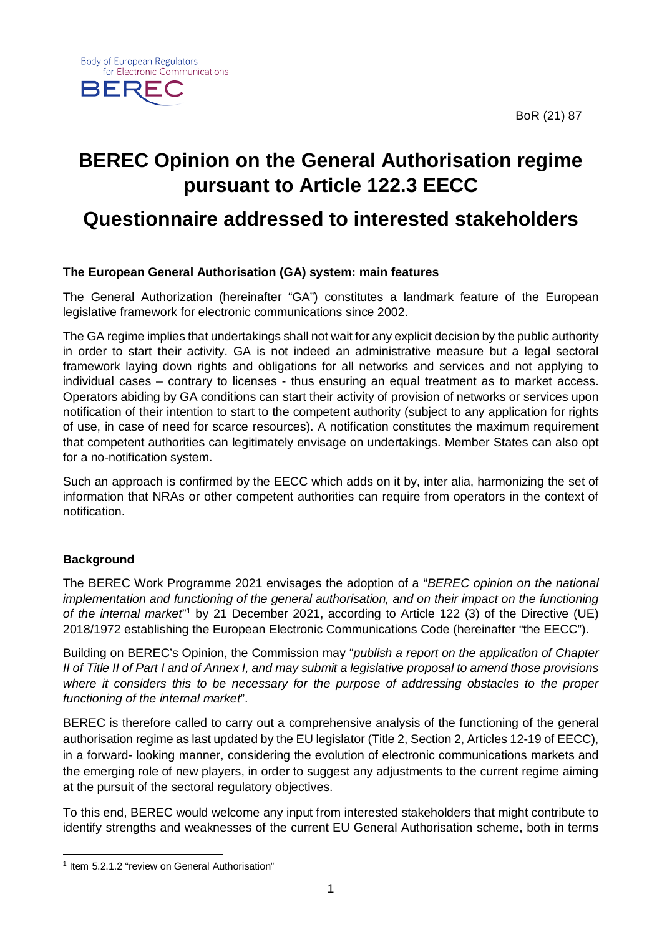BoR (21) 87



# **BEREC Opinion on the General Authorisation regime pursuant to Article 122.3 EECC**

## **Questionnaire addressed to interested stakeholders**

## **The European General Authorisation (GA) system: main features**

The General Authorization (hereinafter "GA") constitutes a landmark feature of the European legislative framework for electronic communications since 2002.

The GA regime implies that undertakings shall not wait for any explicit decision by the public authority in order to start their activity. GA is not indeed an administrative measure but a legal sectoral framework laying down rights and obligations for all networks and services and not applying to individual cases – contrary to licenses - thus ensuring an equal treatment as to market access. Operators abiding by GA conditions can start their activity of provision of networks or services upon notification of their intention to start to the competent authority (subject to any application for rights of use, in case of need for scarce resources). A notification constitutes the maximum requirement that competent authorities can legitimately envisage on undertakings. Member States can also opt for a no-notification system.

Such an approach is confirmed by the EECC which adds on it by, inter alia, harmonizing the set of information that NRAs or other competent authorities can require from operators in the context of notification.

## **Background**

**.** 

The BEREC Work Programme 2021 envisages the adoption of a "*BEREC opinion on the national implementation and functioning of the general authorisation, and on their impact on the functioning of the internal market*" [1](#page-0-0) by 21 December 2021, according to Article 122 (3) of the Directive (UE) 2018/1972 establishing the European Electronic Communications Code (hereinafter "the EECC").

Building on BEREC's Opinion, the Commission may "*publish a report on the application of Chapter II of Title II of Part I and of Annex I, and may submit a legislative proposal to amend those provisions where it considers this to be necessary for the purpose of addressing obstacles to the proper functioning of the internal market*".

BEREC is therefore called to carry out a comprehensive analysis of the functioning of the general authorisation regime as last updated by the EU legislator (Title 2, Section 2, Articles 12-19 of EECC), in a forward- looking manner, considering the evolution of electronic communications markets and the emerging role of new players, in order to suggest any adjustments to the current regime aiming at the pursuit of the sectoral regulatory objectives.

To this end, BEREC would welcome any input from interested stakeholders that might contribute to identify strengths and weaknesses of the current EU General Authorisation scheme, both in terms

<span id="page-0-0"></span><sup>&</sup>lt;sup>1</sup> Item 5.2.1.2 "review on General Authorisation"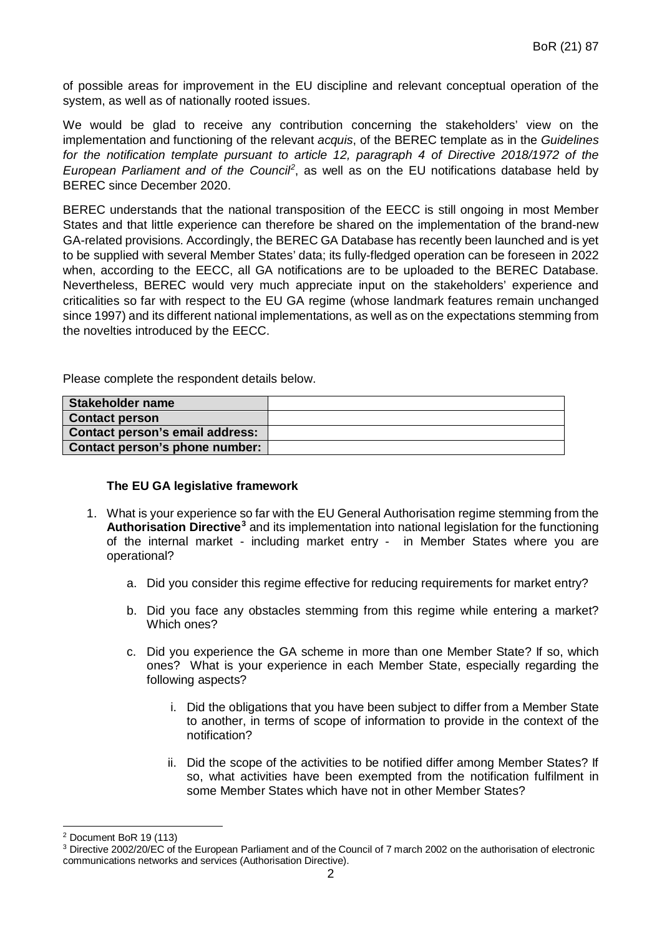of possible areas for improvement in the EU discipline and relevant conceptual operation of the system, as well as of nationally rooted issues.

We would be glad to receive any contribution concerning the stakeholders' view on the implementation and functioning of the relevant *acquis*, of the BEREC template as in the *Guidelines for the notification template pursuant to article 12, paragraph 4 of Directive 2018/1972 of the European Parliament and of the Council[2](#page-1-0)* , as well as on the EU notifications database held by BEREC since December 2020.

BEREC understands that the national transposition of the EECC is still ongoing in most Member States and that little experience can therefore be shared on the implementation of the brand-new GA-related provisions. Accordingly, the BEREC GA Database has recently been launched and is yet to be supplied with several Member States' data; its fully-fledged operation can be foreseen in 2022 when, according to the EECC, all GA notifications are to be uploaded to the BEREC Database. Nevertheless, BEREC would very much appreciate input on the stakeholders' experience and criticalities so far with respect to the EU GA regime (whose landmark features remain unchanged since 1997) and its different national implementations, as well as on the expectations stemming from the novelties introduced by the EECC.

Please complete the respondent details below.

| Stakeholder name                |  |
|---------------------------------|--|
| <b>Contact person</b>           |  |
| Contact person's email address: |  |
| Contact person's phone number:  |  |

### **The EU GA legislative framework**

- 1. What is your experience so far with the EU General Authorisation regime stemming from the **Authorisation Directive[3](#page-1-1)** and its implementation into national legislation for the functioning of the internal market - including market entry - in Member States where you are operational?
	- a. Did you consider this regime effective for reducing requirements for market entry?
	- b. Did you face any obstacles stemming from this regime while entering a market? Which ones?
	- c. Did you experience the GA scheme in more than one Member State? If so, which ones? What is your experience in each Member State, especially regarding the following aspects?
		- i. Did the obligations that you have been subject to differ from a Member State to another, in terms of scope of information to provide in the context of the notification?
		- ii. Did the scope of the activities to be notified differ among Member States? If so, what activities have been exempted from the notification fulfilment in some Member States which have not in other Member States?

<sup>1</sup> <sup>2</sup> Document BoR 19 (113)

<span id="page-1-1"></span><span id="page-1-0"></span><sup>3</sup> Directive 2002/20/EC of the European Parliament and of the Council of 7 march 2002 on the authorisation of electronic communications networks and services (Authorisation Directive).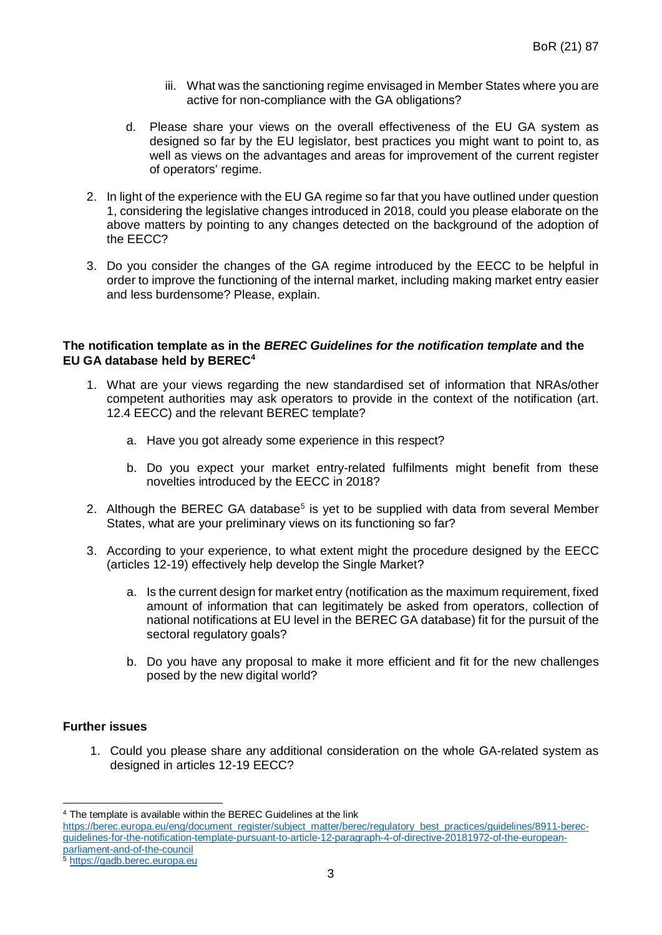- iii. What was the sanctioning regime envisaged in Member States where you are active for non-compliance with the GA obligations?
- d. Please share your views on the overall effectiveness of the EU GA system as designed so far by the EU legislator, best practices you might want to point to, as well as views on the advantages and areas for improvement of the current register of operators' regime.
- 2. In light of the experience with the EU GA regime so far that you have outlined under question 1, considering the legislative changes introduced in 2018, could you please elaborate on the above matters by pointing to any changes detected on the background of the adoption of the EECC?
- 3. Do you consider the changes of the GA regime introduced by the EECC to be helpful in order to improve the functioning of the internal market, including making market entry easier and less burdensome? Please, explain.

### **The notification template as in the** *BEREC Guidelines for the notification template* **and the EU GA database held by BEREC[4](#page-2-0)**

- 1. What are your views regarding the new standardised set of information that NRAs/other competent authorities may ask operators to provide in the context of the notification (art. 12.4 EECC) and the relevant BEREC template?
	- a. Have you got already some experience in this respect?
	- b. Do you expect your market entry-related fulfilments might benefit from these novelties introduced by the EECC in 2018?
- 2. Although the BEREC GA database<sup>5</sup> is yet to be supplied with data from several Member States, what are your preliminary views on its functioning so far?
- 3. According to your experience, to what extent might the procedure designed by the EECC (articles 12-19) effectively help develop the Single Market?
	- a. Is the current design for market entry (notification as the maximum requirement, fixed amount of information that can legitimately be asked from operators, collection of national notifications at EU level in the BEREC GA database) fit for the pursuit of the sectoral regulatory goals?
	- b. Do you have any proposal to make it more efficient and fit for the new challenges posed by the new digital world?

### **Further issues**

1. Could you please share any additional consideration on the whole GA-related system as designed in articles 12-19 EECC?

<sup>1</sup> <sup>4</sup> The template is available within the BEREC Guidelines at the link

<span id="page-2-0"></span>[https://berec.europa.eu/eng/document\\_register/subject\\_matter/berec/regulatory\\_best\\_practices/guidelines/8911-berec](https://berec.europa.eu/eng/document_register/subject_matter/berec/regulatory_best_practices/guidelines/8911-berec-guidelines-for-the-notification-template-pursuant-to-article-12-paragraph-4-of-directive-20181972-of-the-european-parliament-and-of-the-council)[guidelines-for-the-notification-template-pursuant-to-article-12-paragraph-4-of-directive-20181972-of-the-european](https://berec.europa.eu/eng/document_register/subject_matter/berec/regulatory_best_practices/guidelines/8911-berec-guidelines-for-the-notification-template-pursuant-to-article-12-paragraph-4-of-directive-20181972-of-the-european-parliament-and-of-the-council)[parliament-and-of-the-council](https://berec.europa.eu/eng/document_register/subject_matter/berec/regulatory_best_practices/guidelines/8911-berec-guidelines-for-the-notification-template-pursuant-to-article-12-paragraph-4-of-directive-20181972-of-the-european-parliament-and-of-the-council)

<span id="page-2-1"></span>[https://gadb.berec.europa.eu](https://gadb.berec.europa.eu/)